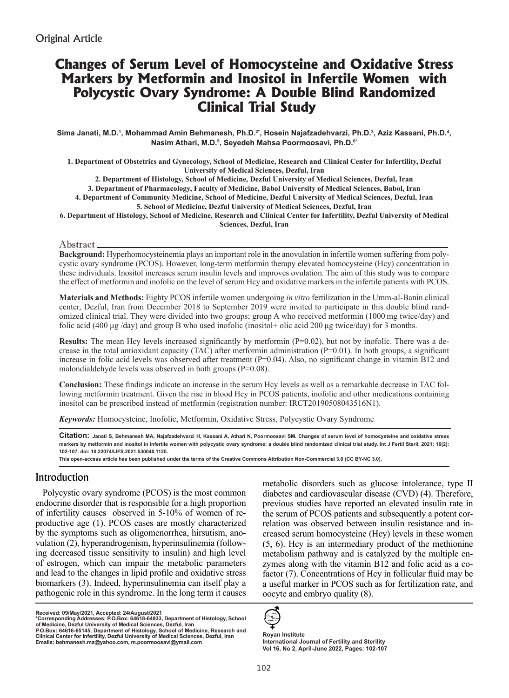# **Changes of Serum Level of Homocysteine and Oxidative Stress Markers by Metformin and Inositol in Infertile Women with Polycystic Ovary Syndrome: A Double Blind Randomized Clinical Trial Study**

**Sima Janati, M.D.1 , Mohammad Amin Behmanesh, Ph.D.2\*, Hosein Najafzadehvarzi, Ph.D.3 , Aziz Kassani, Ph.D.4 , Nasim Athari, M.D.5 , Seyedeh Mahsa Poormoosavi, Ph.D.6\***

**1. Department of Obstetrics and Gynecology, School of Medicine, Research and Clinical Center for Infertility, Dezful University of Medical Sciences, Dezful, Iran**

**2. Department of Histology, School of Medicine, Dezful University of Medical Sciences, Dezful, Iran**

**3. Department of Pharmacology, Faculty of Medicine, Babol University of Medical Sciences, Babol, Iran**

**4. Department of Community Medicine, School of Medicine, Dezful University of Medical Sciences, Dezful, Iran**

**5. School of Medicine, Dezful University of Medical Sciences, Dezful, Iran** 

**6. Department of Histology, School of Medicine, Research and Clinical Center for Infertility, Dezful University of Medical Sciences, Dezful, Iran**

### Abstract

**Background:** Hyperhomocysteinemia plays an important role in the anovulation in infertile women suffering from polycystic ovary syndrome (PCOS). However, long-term metformin therapy elevated homocysteine (Hcy) concentration in these individuals. Inositol increases serum insulin levels and improves ovulation. The aim of this study was to compare the effect of metformin and inofolic on the level of serum Hcy and oxidative markers in the infertile patients with PCOS.

**Materials and Methods:** Eighty PCOS infertile women undergoing *in vitro* fertilization in the Umm-al-Banin clinical center, Dezful, Iran from December 2018 to September 2019 were invited to participate in this double blind randomized clinical trial. They were divided into two groups; group A who received metformin (1000 mg twice/day) and folic acid (400 μg /day) and group B who used inofolic (inositol+ olic acid 200 μg twice/day) for 3 months.

**Results:** The mean Hcy levels increased significantly by metformin  $(P=0.02)$ , but not by inofolic. There was a decrease in the total antioxidant capacity (TAC) after metformin administration ( $P=0.01$ ). In both groups, a significant increase in folic acid levels was observed after treatment (P=0.04). Also, no significant change in vitamin B12 and malondialdehyde levels was observed in both groups (P=0.08).

**Conclusion:** These findings indicate an increase in the serum Hcy levels as well as a remarkable decrease in TAC following metformin treatment. Given the rise in blood Hcy in PCOS patients, inofolic and other medications containing inositol can be prescribed instead of metformin (registration number: IRCT20190508043516N1).

*Keywords:* Homocysteine, Inofolic, Metformin, Oxidative Stress, Polycystic Ovary Syndrome

**Citation: Janati S, Behmanesh MA, Najafzadehvarzi H, Kassani A, Athari N, Poormoosavi SM. Changes of serum level of homocysteine and oxidative stress**  markers by metformin and inositol in infertile women with polycystic ovary syndrome: a double blind randomized clinical trial study. Int J Fertil Steril. 2021; 16(2): **102-107. doi: 10.22074/IJFS.2021.530040.1125.**

**This open-access article has been published under the terms of the Creative Commons Attribution Non-Commercial 3.0 (CC BY-NC 3.0).**

# Introduction

Polycystic ovary syndrome (PCOS) is the most common endocrine disorder that is responsible for a high proportion of infertility causes observed in 5-10% of women of reproductive age (1). PCOS cases are mostly characterized by the symptoms such as oligomenorrhea, hirsutism, anovulation (2), hyperandrogenism, hyperinsulinemia (following decreased tissue sensitivity to insulin) and high level of estrogen, which can impair the metabolic parameters and lead to the changes in lipid profile and oxidative stress biomarkers (3). Indeed, hyperinsulinemia can itself play a pathogenic role in this syndrome. In the long term it causes

**Received: 09/May/2021, Accepted: 24/August/2021**

**\*Corresponding Addresses: P.O.Box: 64618-64933, Department of Histology, School of Medicine, Dezful University of Medical Sciences, Dezful, Iran P.O.Box: 64616-65145, Department of Histology, School of Medicine, Research and Clinical Center for Infertility, Dezful University of Medical Sciences, Dezful, Iran Emails: behmanesh.ma@yahoo.com, m.poormoosavi@ymail.com**

metabolic disorders such as glucose intolerance, type II diabetes and cardiovascular disease (CVD) (4). Therefore, previous studies have reported an elevated insulin rate in the serum of PCOS patients and subsequently a potent correlation was observed between insulin resistance and increased serum homocysteine (Hcy) levels in these women (5, 6). Hcy is an intermediary product of the methionine metabolism pathway and is catalyzed by the multiple enzymes along with the vitamin B12 and folic acid as a cofactor (7). Concentrations of Hcy in follicular fluid may be a useful marker in PCOS such as for fertilization rate, and oocyte and embryo quality (8).



**Royan Institute International Journal of Fertility and Sterility Vol 16, No 2, April-June 2022, Pages: 102-107**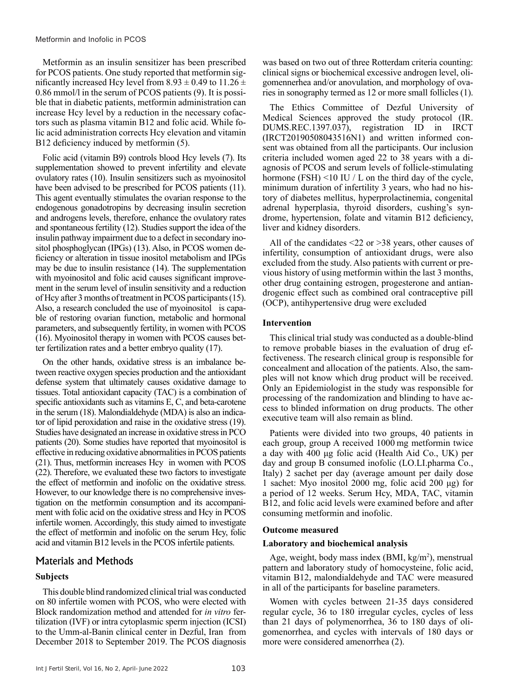Metformin as an insulin sensitizer has been prescribed for PCOS patients. One study reported that metformin significantly increased Hcy level from 8.93  $\pm$  0.49 to 11.26  $\pm$ 0.86 mmol/l in the serum of PCOS patients (9). It is possible that in diabetic patients, metformin administration can increase Hcy level by a reduction in the necessary cofactors such as plasma vitamin B12 and folic acid. While folic acid administration corrects Hcy elevation and vitamin B12 deficiency induced by metformin (5).

Folic acid (vitamin B9) controls blood Hcy levels (7). Its supplementation showed to prevent infertility and elevate ovulatory rates (10). Insulin sensitizers such as myoinositol have been advised to be prescribed for PCOS patients (11). This agent eventually stimulates the ovarian response to the endogenous gonadotropins by decreasing insulin secretion and androgens levels, therefore, enhance the ovulatory rates and spontaneous fertility (12). Studies support the idea of the insulin pathway impairment due to a defect in secondary inositol phosphoglycan (IPGs) (13). Also, in PCOS women deficiency or alteration in tissue inositol metabolism and IPGs may be due to insulin resistance (14). The supplementation with myoinositol and folic acid causes significant improvement in the serum level of insulin sensitivity and a reduction of Hcy after 3 months of treatment in PCOS participants (15). Also, a research concluded the use of myoinositol is capable of restoring ovarian function, metabolic and hormonal parameters, and subsequently fertility, in women with PCOS (16). Myoinositol therapy in women with PCOS causes better fertilization rates and a better embryo quality (17).

On the other hands, oxidative stress is an imbalance between reactive oxygen species production and the antioxidant defense system that ultimately causes oxidative damage to tissues. Total antioxidant capacity (TAC) is a combination of specific antioxidants such as vitamins E, C, and beta-carotene in the serum (18). Malondialdehyde (MDA) is also an indicator of lipid peroxidation and raise in the oxidative stress (19). Studies have designated an increase in oxidative stress in PCO patients (20). Some studies have reported that myoinositol is effective in reducing oxidative abnormalities in PCOS patients (21). Thus, metformin increases Hcy in women with PCOS (22). Therefore, we evaluated these two factors to investigate the effect of metformin and inofolic on the oxidative stress. However, to our knowledge there is no comprehensive investigation on the metformin consumption and its accompaniment with folic acid on the oxidative stress and Hcy in PCOS infertile women. Accordingly, this study aimed to investigate the effect of metformin and inofolic on the serum Hcy, folic acid and vitamin B12 levels in the PCOS infertile patients.

# Materials and Methods

# **Subjects**

This double blind randomized clinical trial was conducted on 80 infertile women with PCOS, who were elected with Block randomization method and attended for *in vitro* fertilization (IVF) or intra cytoplasmic sperm injection (ICSI) to the Umm-al-Banin clinical center in Dezful, Iran from December 2018 to September 2019. The PCOS diagnosis

was based on two out of three Rotterdam criteria counting: clinical signs or biochemical excessive androgen level, oligomennerhea and/or anovulation, and morphology of ovaries in sonography termed as 12 or more small follicles (1).

The Ethics Committee of Dezful University of Medical Sciences approved the study protocol (IR. DUMS.REC.1397.037), registration ID in IRCT (IRCT20190508043516N1) and written informed consent was obtained from all the participants. Our inclusion criteria included women aged 22 to 38 years with a diagnosis of PCOS and serum levels of follicle-stimulating hormone (FSH)  $\leq$ 10 IU / L on the third day of the cycle, minimum duration of infertility 3 years, who had no history of diabetes mellitus, hyperprolactinemia, congenital adrenal hyperplasia, thyroid disorders, cushing's syndrome, hypertension, folate and vitamin B12 deficiency, liver and kidney disorders.

All of the candidates <22 or >38 years, other causes of infertility, consumption of antioxidant drugs, were also excluded from the study. Also patients with current or previous history of using metformin within the last 3 months, other drug containing estrogen, progesterone and antiandrogenic effect such as combined oral contraceptive pill (OCP), antihypertensive drug were excluded

# **Intervention**

This clinical trial study was conducted as a double-blind to remove probable biases in the evaluation of drug effectiveness. The research clinical group is responsible for concealment and allocation of the patients. Also, the samples will not know which drug product will be received. Only an Epidemiologist in the study was responsible for processing of the randomization and blinding to have access to blinded information on drug products. The other executive team will also remain as blind.

Patients were divided into two groups, 40 patients in each group, group A received 1000 mg metformin twice a day with 400 μg folic acid (Health Aid Co., UK) per day and group B consumed inofolic (LO.LI.pharma Co., Italy) 2 sachet per day (average amount per daily dose 1 sachet: Myo inositol 2000 mg, folic acid 200 μg) for a period of 12 weeks. Serum Hcy, MDA, TAC, vitamin B12, and folic acid levels were examined before and after consuming metformin and inofolic.

# **Outcome measured**

# **Laboratory and biochemical analysis**

Age, weight, body mass index  $(BMI, kg/m<sup>2</sup>)$ , menstrual pattern and laboratory study of homocysteine, folic acid, vitamin B12, malondialdehyde and TAC were measured in all of the participants for baseline parameters.

Women with cycles between 21-35 days considered regular cycle, 36 to 180 irregular cycles, cycles of less than 21 days of polymenorrhea, 36 to 180 days of oligomenorrhea, and cycles with intervals of 180 days or more were considered amenorrhea (2).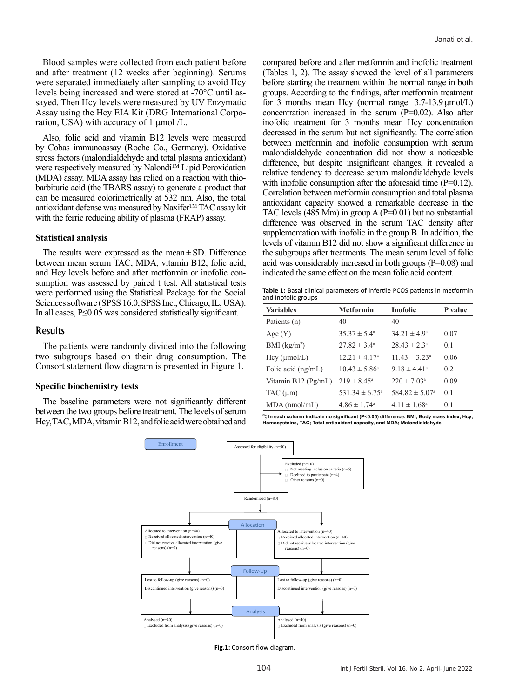Blood samples were collected from each patient before and after treatment (12 weeks after beginning). Serums were separated immediately after sampling to avoid Hcy levels being increased and were stored at -70°C until assayed. Then Hcy levels were measured by UV Enzymatic Assay using the Hcy EIA Kit (DRG International Corporation, USA) with accuracy of 1 μmol /L.

Also, folic acid and vitamin B12 levels were measured by Cobas immunoassay (Roche Co., Germany). Oxidative stress factors (malondialdehyde and total plasma antioxidant) were respectively measured by Nalondi<sup>TM</sup> Lipid Peroxidation (MDA) assay. MDA assay has relied on a reaction with thiobarbituric acid (the TBARS assay) to generate a product that can be measured colorimetrically at 532 nm. Also, the total antioxidant defense was measured by Naxifer™ TAC assay kit with the ferric reducing ability of plasma (FRAP) assay.

#### **Statistical analysis**

The results were expressed as the mean $\pm$ SD. Difference between mean serum TAC, MDA, vitamin B12, folic acid, and Hcy levels before and after metformin or inofolic consumption was assessed by paired t test. All statistical tests were performed using the Statistical Package for the Social Sciences software (SPSS 16.0, SPSS Inc., Chicago, IL, USA). In all cases, P≤0.05 was considered statistically significant.

#### Results

The patients were randomly divided into the following two subgroups based on their drug consumption. The Consort statement flow diagram is presented in Figure 1.

#### **Specific biochemistry tests**

The baseline parameters were not significantly different between the two groups before treatment. The levels of serum Hcy, TAC, MDA, vitamin B12, and folic acid were obtained and

compared before and after metformin and inofolic treatment (Tables 1, 2). The assay showed the level of all parameters before starting the treatment within the normal range in both groups. According to the findings, after metformin treatment for 3 months mean Hcy (normal range:  $3.7\n-13.9 \mu$ mol/L) concentration increased in the serum (P=0.02). Also after inofolic treatment for 3 months mean Hcy concentration decreased in the serum but not significantly. The correlation between metformin and inofolic consumption with serum malondialdehyde concentration did not show a noticeable difference, but despite insignificant changes, it revealed a relative tendency to decrease serum malondialdehyde levels with inofolic consumption after the aforesaid time  $(P=0.12)$ . Correlation between metformin consumption and total plasma antioxidant capacity showed a remarkable decrease in the TAC levels (485 Mm) in group A (P=0.01) but no substantial difference was observed in the serum TAC density after supplementation with inofolic in the group B. In addition, the levels of vitamin B12 did not show a significant difference in the subgroups after treatments. The mean serum level of folic acid was considerably increased in both groups (P=0.08) and indicated the same effect on the mean folic acid content.

**Table 1:** Basal clinical parameters of infertile PCOS patients in metformin and inofolic groups

| <b>Variables</b>      | <b>Metformin</b>               | <b>Inofolic</b>            | P value |
|-----------------------|--------------------------------|----------------------------|---------|
| Patients (n)          | 40                             | 40                         |         |
| Age $(Y)$             | $35.37 \pm 5.4^{\circ}$        | $34.21 \pm 4.9^{\circ}$    | 0.07    |
| BMI $(kg/m2)$         | $27.82 \pm 3.4^{\circ}$        | $28.43 \pm 2.3^{\circ}$    | 0.1     |
| Hcy (µmol/L)          | $12.21 \pm 4.17^{\circ}$       | $11.43 \pm 3.23^{\circ}$   | 0.06    |
| Folic acid $(ng/mL)$  | $10.43 \pm 5.86^{\circ}$       | $9.18 \pm 4.41^a$          | 0.2     |
| Vitamin $B12$ (Pg/mL) | $219 \pm 8.45^{\circ}$         | $220 \pm 7.03^{\circ}$     | 0.09    |
| $TAC$ ( $\mu$ m)      | 531.34 $\pm$ 6.75 <sup>a</sup> | $584.82 \pm 5.07^{\circ}$  | 0.1     |
| $MDA$ (nmol/mL)       | $4.86 \pm 1.74$ <sup>a</sup>   | $4.11 \pm 1.68^{\text{a}}$ | 0.1     |

**a ; In each column indicate no significant (P<0.05) difference. BMI; Body mass index, Hcy; Homocysteine, TAC; Total antioxidant capacity, and MDA; Malondialdehyde.**



**Fig.1:** Consort flow diagram.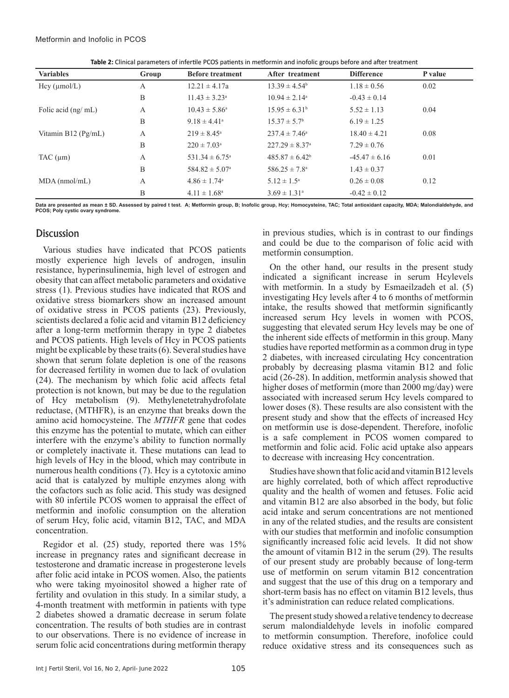| Table 2: Clinical parameters of infertile PCOS patients in metformin and inofolic groups before and after treatment |  |  |
|---------------------------------------------------------------------------------------------------------------------|--|--|
|---------------------------------------------------------------------------------------------------------------------|--|--|

| <b>Variables</b>        | Group | <b>Before treatment</b>      | After treatment                | <b>Difference</b> | P value |
|-------------------------|-------|------------------------------|--------------------------------|-------------------|---------|
| Hcy (µmol/L)            | A     | $12.21 \pm 4.17a$            | $13.39 \pm 4.54^b$             | $1.18 \pm 0.56$   | 0.02    |
|                         | B     | $11.43 \pm 3.23^{\circ}$     | $10.94 \pm 2.14^{\circ}$       | $-0.43 \pm 0.14$  |         |
| Folic acid $(ng/ml)$    | A     | $10.43 \pm 5.86^{\circ}$     | $15.95 \pm 6.31^{\circ}$       | $5.52 \pm 1.13$   | 0.04    |
|                         | B     | $9.18 \pm 4.41^a$            | $15.37 \pm 5.7^{\circ}$        | $6.19 \pm 1.25$   |         |
| Vitamin B12 ( $Pg/mL$ ) | A     | $219 \pm 8.45^{\circ}$       | $237.4 \pm 7.46^{\circ}$       | $18.40 \pm 4.21$  | 0.08    |
|                         | B     | $220 \pm 7.03^a$             | $227.29 \pm 8.37$ <sup>a</sup> | $7.29 \pm 0.76$   |         |
| $TAC$ ( $\mu$ m)        | A     | $531.34 \pm 6.75^{\circ}$    | $485.87 \pm 6.42^b$            | $-45.47 \pm 6.16$ | 0.01    |
|                         | B     | $584.82 \pm 5.07^{\circ}$    | $586.25 \pm 7.8^{\circ}$       | $1.43 \pm 0.37$   |         |
| $MDA$ (nmol/mL)         | A     | $4.86 \pm 1.74$ <sup>a</sup> | $5.12 \pm 1.5^{\circ}$         | $0.26 \pm 0.08$   | 0.12    |
|                         | B     | $4.11 \pm 1.68^{\circ}$      | $3.69 \pm 1.31$ <sup>a</sup>   | $-0.42 \pm 0.12$  |         |

**Data are presented as mean ± SD. Assessed by paired t test. A; Metformin group, B; Inofolic group, Hcy; Homocysteine, TAC; Total antioxidant capacity, MDA; Malondialdehyde, and PCOS; Poly cystic ovary syndrome.**

# **Discussion**

Various studies have indicated that PCOS patients mostly experience high levels of androgen, insulin resistance, hyperinsulinemia, high level of estrogen and obesity that can affect metabolic parameters and oxidative stress (1). Previous studies have indicated that ROS and oxidative stress biomarkers show an increased amount of oxidative stress in PCOS patients (23). Previously, scientists declared a folic acid and vitamin B12 deficiency after a long-term metformin therapy in type 2 diabetes and PCOS patients. High levels of Hcy in PCOS patients might be explicable by these traits (6). Several studies have shown that serum folate depletion is one of the reasons for decreased fertility in women due to lack of ovulation (24). The mechanism by which folic acid affects fetal protection is not known, but may be due to the regulation of Hcy metabolism (9). Methylenetetrahydrofolate reductase, (MTHFR), is an enzyme that breaks down the amino acid homocysteine. The *MTHFR* gene that codes this enzyme has the potential to mutate, which can either interfere with the enzyme's ability to function normally or completely inactivate it. These mutations can lead to high levels of Hcy in the blood, which may contribute in numerous health conditions (7). Hcy is a cytotoxic amino acid that is catalyzed by multiple enzymes along with the cofactors such as folic acid. This study was designed with 80 infertile PCOS women to appraisal the effect of metformin and inofolic consumption on the alteration of serum Hcy, folic acid, vitamin B12, TAC, and MDA concentration.

Regidor et al. (25) study, reported there was 15% increase in pregnancy rates and significant decrease in testosterone and dramatic increase in progesterone levels after folic acid intake in PCOS women. Also, the patients who were taking myoinositol showed a higher rate of fertility and ovulation in this study. In a similar study, a 4-month treatment with metformin in patients with type 2 diabetes showed a dramatic decrease in serum folate concentration. The results of both studies are in contrast to our observations. There is no evidence of increase in serum folic acid concentrations during metformin therapy

in previous studies, which is in contrast to our findings and could be due to the comparison of folic acid with metformin consumption.

On the other hand, our results in the present study indicated a significant increase in serum Hcylevels with metformin. In a study by Esmaeilzadeh et al. (5) investigating Hcy levels after 4 to 6 months of metformin intake, the results showed that metformin significantly increased serum Hcy levels in women with PCOS, suggesting that elevated serum Hcy levels may be one of the inherent side effects of metformin in this group. Many studies have reported metformin as a common drug in type 2 diabetes, with increased circulating Hcy concentration probably by decreasing plasma vitamin B12 and folic acid (26-28). In addition, metformin analysis showed that higher doses of metformin (more than 2000 mg/day) were associated with increased serum Hcy levels compared to lower doses (8). These results are also consistent with the present study and show that the effects of increased Hcy on metformin use is dose-dependent. Therefore, inofolic is a safe complement in PCOS women compared to metformin and folic acid. Folic acid uptake also appears to decrease with increasing Hcy concentration.

Studies have shown that folic acid and vitamin B12 levels are highly correlated, both of which affect reproductive quality and the health of women and fetuses. Folic acid and vitamin B12 are also absorbed in the body, but folic acid intake and serum concentrations are not mentioned in any of the related studies, and the results are consistent with our studies that metformin and inofolic consumption significantly increased folic acid levels. It did not show the amount of vitamin B12 in the serum (29). The results of our present study are probably because of long-term use of metformin on serum vitamin B12 concentration and suggest that the use of this drug on a temporary and short-term basis has no effect on vitamin B12 levels, thus it's administration can reduce related complications.

The present study showed a relative tendency to decrease serum malondialdehyde levels in inofolic compared to metformin consumption. Therefore, inofolice could reduce oxidative stress and its consequences such as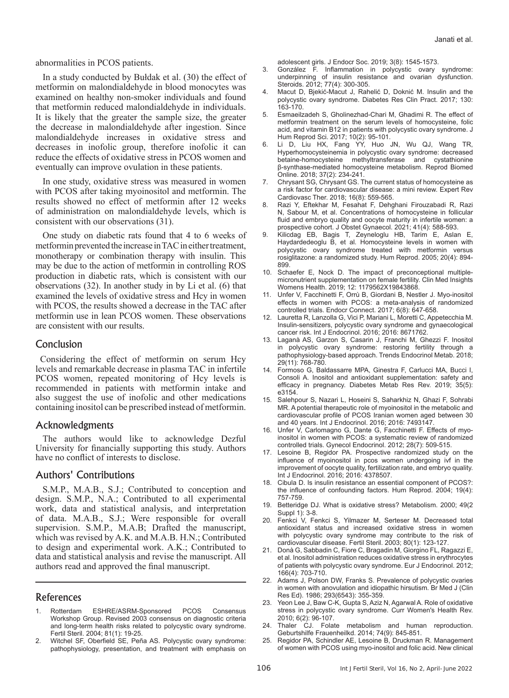abnormalities in PCOS patients.

In a study conducted by Bułdak et al. (30) the effect of metformin on malondialdehyde in blood monocytes was examined on healthy non-smoker individuals and found that metformin reduced malondialdehyde in individuals. It is likely that the greater the sample size, the greater the decrease in malondialdehyde after ingestion. Since malondialdehyde increases in oxidative stress and decreases in inofolic group, therefore inofolic it can reduce the effects of oxidative stress in PCOS women and eventually can improve ovulation in these patients.

In one study, oxidative stress was measured in women with PCOS after taking myoinositol and metformin. The results showed no effect of metformin after 12 weeks of administration on malondialdehyde levels, which is consistent with our observations (31).

One study on diabetic rats found that 4 to 6 weeks of metformin prevented the increase in TAC in either treatment, monotherapy or combination therapy with insulin. This may be due to the action of metformin in controlling ROS production in diabetic rats, which is consistent with our observations (32). In another study in by Li et al. (6) that examined the levels of oxidative stress and Hcy in women with PCOS, the results showed a decrease in the TAC after metformin use in lean PCOS women. These observations are consistent with our results.

#### **Conclusion**

Considering the effect of metformin on serum Hcy levels and remarkable decrease in plasma TAC in infertile PCOS women, repeated monitoring of Hcy levels is recommended in patients with metformin intake and also suggest the use of inofolic and other medications containing inositol can be prescribed instead of metformin.

#### Acknowledgments

The authors would like to acknowledge Dezful University for financially supporting this study. Authors have no conflict of interests to disclose.

### Authors' Contributions

S.M.P., M.A.B., S.J.; Contributed to conception and design. S.M.P., N.A.; Contributed to all experimental work, data and statistical analysis, and interpretation of data. M.A.B., S.J.; Were responsible for overall supervision. S.M.P., M.A.B; Drafted the manuscript, which was revised by A.K. and M.A.B. H.N.; Contributed to design and experimental work. A.K.; Contributed to data and statistical analysis and revise the manuscript. All authors read and approved the final manuscript.

#### References

- 1. Rotterdam ESHRE/ASRM-Sponsored PCOS Consensus Workshop Group. Revised 2003 consensus on diagnostic criteria and long-term health risks related to polycystic ovary syndrome. Fertil Steril. 2004; 81(1): 19-25.
- 2. Witchel SF, Oberfield SE, Peña AS. Polycystic ovary syndrome: pathophysiology, presentation, and treatment with emphasis on

adolescent girls. J Endocr Soc. 2019; 3(8): 1545-1573.

- 3. González F. Inflammation in polycystic ovary syndrome: underpinning of insulin resistance and ovarian dysfunction. Steroids. 2012; 77(4): 300-305.
- 4. Macut D, Bjekić-Macut J, Rahelić D, Doknić M. Insulin and the polycystic ovary syndrome. Diabetes Res Clin Pract. 2017; 130: 163-170.
- 5. Esmaeilzadeh S, Gholinezhad-Chari M, Ghadimi R. The effect of metformin treatment on the serum levels of homocysteine, folic acid, and vitamin B12 in patients with polycystic ovary syndrome. J Hum Reprod Sci. 2017; 10(2): 95-101.
- 6. Li D, Liu HX, Fang YY, Huo JN, Wu QJ, Wang TR, Hyperhomocysteinemia in polycystic ovary syndrome: decreased betaine-homocysteine methyltransferase and cystathionine β-synthase-mediated homocysteine metabolism. Reprod Biomed Online. 2018; 37(2): 234-241.
- 7. Chrysant SG, Chrysant GS. The current status of homocysteine as a risk factor for cardiovascular disease: a mini review. Expert Rev Cardiovasc Ther. 2018; 16(8): 559-565.
- Razi Y, Eftekhar M, Fesahat F, Dehghani Firouzabadi R, Razi N, Sabour M, et al. Concentrations of homocysteine in follicular fluid and embryo quality and oocyte maturity in infertile women: a prospective cohort. J Obstet Gynaecol. 2021; 41(4): 588-593.
- 9. Kilicdag EB, Bagis T, Zeyneloglu HB, Tarim E, Aslan E, Haydardedeoglu B, et al. Homocysteine levels in women with polycystic ovary syndrome treated with metformin versus rosiglitazone: a randomized study. Hum Reprod. 2005; 20(4): 894- 899.
- 10. Schaefer E, Nock D. The impact of preconceptional multiplemicronutrient supplementation on female fertility. Clin Med Insights Womens Health. 2019; 12: 1179562X19843868.
- 11. Unfer V, Facchinetti F, Orrù B, Giordani B, Nestler J. Myo-inositol effects in women with PCOS: a meta-analysis of randomized controlled trials. Endocr Connect. 2017; 6(8): 647-658.
- 12. Lauretta R, Lanzolla G, Vici P, Mariani L, Moretti C, Appetecchia M. Insulin-sensitizers, polycystic ovary syndrome and gynaecological cancer risk. Int J Endocrinol. 2016; 2016: 8671762.
- 13. Laganà AS, Garzon S, Casarin J, Franchi M, Ghezzi F. Inositol in polycystic ovary syndrome: restoring fertility through a pathophysiology-based approach. Trends Endocrinol Metab. 2018; 29(11): 768-780.
- 14. Formoso G, Baldassarre MPA, Ginestra F, Carlucci MA, Bucci I, Consoli A. Inositol and antioxidant supplementation: safety and efficacy in pregnancy. Diabetes Metab Res Rev. 2019; 35(5): e3154.
- 15. Salehpour S, Nazari L, Hoseini S, Saharkhiz N, Ghazi F, Sohrabi MR. A potential therapeutic role of myoinositol in the metabolic and cardiovascular profile of PCOS Iranian women aged between 30 and 40 years. Int J Endocrinol. 2016; 2016: 7493147.
- 16. Unfer V, Carlomagno G, Dante G, Facchinetti F. Effects of myoinositol in women with PCOS: a systematic review of randomized controlled trials. Gynecol Endocrinol. 2012; 28(7): 509-515.
- 17. Lesoine B, Regidor PA. Prospective randomized study on the influence of myoinositol in pcos women undergoing ivf in the improvement of oocyte quality, fertilization rate, and embryo quality. Int J Endocrinol. 2016; 2016: 4378507.
- 18. Cibula D. Is insulin resistance an essential component of PCOS?: the influence of confounding factors. Hum Reprod. 2004; 19(4): 757-759.
- 19. Betteridge DJ. What is oxidative stress? Metabolism. 2000; 49(2 Suppl 1): 3-8.
- 20. Fenkci V, Fenkci S, Yilmazer M, Serteser M. Decreased total antioxidant status and increased oxidative stress in women with polycystic ovary syndrome may contribute to the risk of cardiovascular disease. Fertil Steril. 2003; 80(1): 123-127.
- 21. Donà G, Sabbadin C, Fiore C, Bragadin M, Giorgino FL, Ragazzi E, et al. Inositol administration reduces oxidative stress in erythrocytes of patients with polycystic ovary syndrome. Eur J Endocrinol. 2012; 166(4): 703-710.
- 22. Adams J, Polson DW, Franks S. Prevalence of polycystic ovaries in women with anovulation and idiopathic hirsutism. Br Med J (Clin Res Ed). 1986; 293(6543): 355-359.
- 23. Yeon Lee J, Baw C-K, Gupta S, Aziz N, Agarwal A. Role of oxidative stress in polycystic ovary syndrome. Curr Women's Health Rev. 2010; 6(2): 96-107.
- 24. Thaler CJ. Folate metabolism and human reproduction. Geburtshilfe Frauenheilkd. 2014; 74(9): 845-851.
- 25. Regidor PA, Schindler AE, Lesoine B, Druckman R. Management of women with PCOS using myo-inositol and folic acid. New clinical